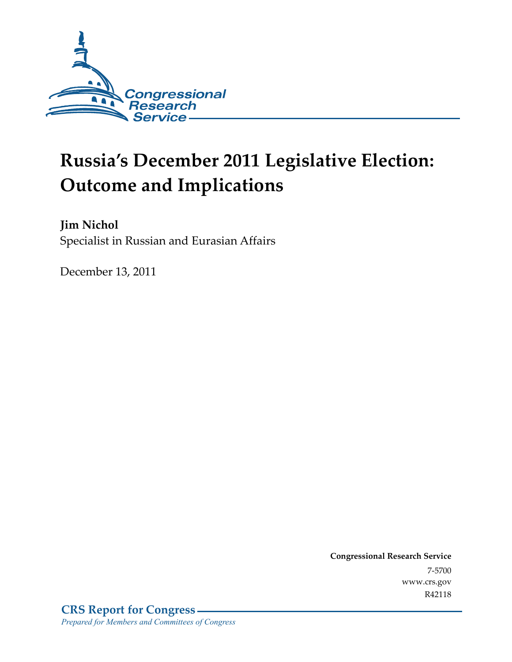

# **Russia's December 2011 Legislative Election: Outcome and Implications**

**Jim Nichol**  Specialist in Russian and Eurasian Affairs

December 13, 2011

**Congressional Research Service**  7-5700 www.crs.gov R42118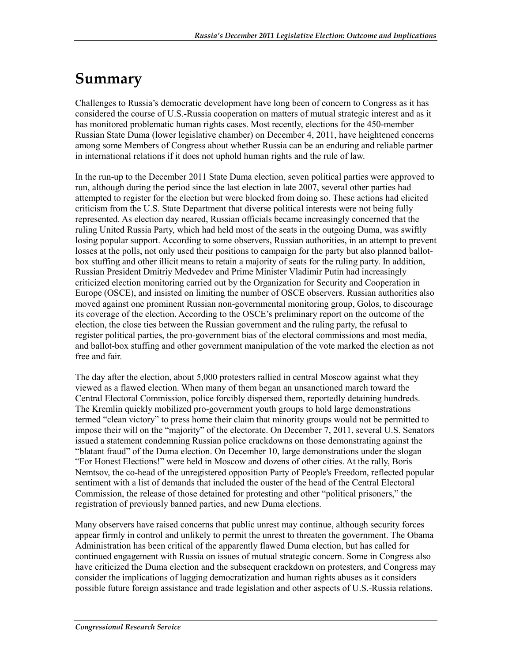## **Summary**

Challenges to Russia's democratic development have long been of concern to Congress as it has considered the course of U.S.-Russia cooperation on matters of mutual strategic interest and as it has monitored problematic human rights cases. Most recently, elections for the 450-member Russian State Duma (lower legislative chamber) on December 4, 2011, have heightened concerns among some Members of Congress about whether Russia can be an enduring and reliable partner in international relations if it does not uphold human rights and the rule of law.

In the run-up to the December 2011 State Duma election, seven political parties were approved to run, although during the period since the last election in late 2007, several other parties had attempted to register for the election but were blocked from doing so. These actions had elicited criticism from the U.S. State Department that diverse political interests were not being fully represented. As election day neared, Russian officials became increasingly concerned that the ruling United Russia Party, which had held most of the seats in the outgoing Duma, was swiftly losing popular support. According to some observers, Russian authorities, in an attempt to prevent losses at the polls, not only used their positions to campaign for the party but also planned ballotbox stuffing and other illicit means to retain a majority of seats for the ruling party. In addition, Russian President Dmitriy Medvedev and Prime Minister Vladimir Putin had increasingly criticized election monitoring carried out by the Organization for Security and Cooperation in Europe (OSCE), and insisted on limiting the number of OSCE observers. Russian authorities also moved against one prominent Russian non-governmental monitoring group, Golos, to discourage its coverage of the election. According to the OSCE's preliminary report on the outcome of the election, the close ties between the Russian government and the ruling party, the refusal to register political parties, the pro-government bias of the electoral commissions and most media, and ballot-box stuffing and other government manipulation of the vote marked the election as not free and fair.

The day after the election, about 5,000 protesters rallied in central Moscow against what they viewed as a flawed election. When many of them began an unsanctioned march toward the Central Electoral Commission, police forcibly dispersed them, reportedly detaining hundreds. The Kremlin quickly mobilized pro-government youth groups to hold large demonstrations termed "clean victory" to press home their claim that minority groups would not be permitted to impose their will on the "majority" of the electorate. On December 7, 2011, several U.S. Senators issued a statement condemning Russian police crackdowns on those demonstrating against the "blatant fraud" of the Duma election. On December 10, large demonstrations under the slogan "For Honest Elections!" were held in Moscow and dozens of other cities. At the rally, Boris Nemtsov, the co-head of the unregistered opposition Party of People's Freedom, reflected popular sentiment with a list of demands that included the ouster of the head of the Central Electoral Commission, the release of those detained for protesting and other "political prisoners," the registration of previously banned parties, and new Duma elections.

Many observers have raised concerns that public unrest may continue, although security forces appear firmly in control and unlikely to permit the unrest to threaten the government. The Obama Administration has been critical of the apparently flawed Duma election, but has called for continued engagement with Russia on issues of mutual strategic concern. Some in Congress also have criticized the Duma election and the subsequent crackdown on protesters, and Congress may consider the implications of lagging democratization and human rights abuses as it considers possible future foreign assistance and trade legislation and other aspects of U.S.-Russia relations.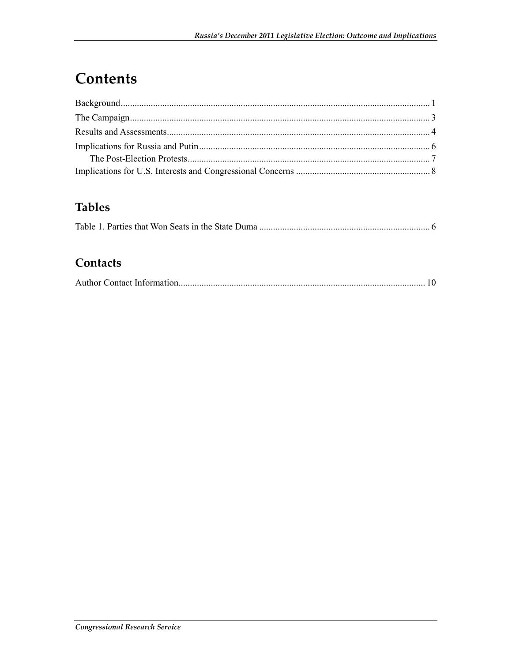## Contents

| ${\bf Background.}.\hspace*{2em} \begin{minipage}[h]{0.9\linewidth} \textbf{Background}.\hspace*{2em} \end{minipage} \vspace*{-1em} \begin{minipage}[h]{0.9\linewidth} \textbf{Background}.\hspace*{2em} \end{minipage} \vspace*{-1em} \begin{minipage}[h]{0.9\linewidth} \textbf{Argument} & \textbf{Output} & \textbf{Output} & \textbf{Output} \\ \textbf{Output} & \textbf{Output} & \textbf{Output} \\ \textbf{Output} & \textbf{Output} & \textbf{Output} \\ \textbf{Output} & \textbf{Output} & \textbf{Output} \\ \textbf{Output} & \textbf{Output}$ |  |
|--------------------------------------------------------------------------------------------------------------------------------------------------------------------------------------------------------------------------------------------------------------------------------------------------------------------------------------------------------------------------------------------------------------------------------------------------------------------------------------------------------------------------------------------------------------|--|
|                                                                                                                                                                                                                                                                                                                                                                                                                                                                                                                                                              |  |
|                                                                                                                                                                                                                                                                                                                                                                                                                                                                                                                                                              |  |
|                                                                                                                                                                                                                                                                                                                                                                                                                                                                                                                                                              |  |
|                                                                                                                                                                                                                                                                                                                                                                                                                                                                                                                                                              |  |
|                                                                                                                                                                                                                                                                                                                                                                                                                                                                                                                                                              |  |

#### **Tables**

#### Contacts

|--|--|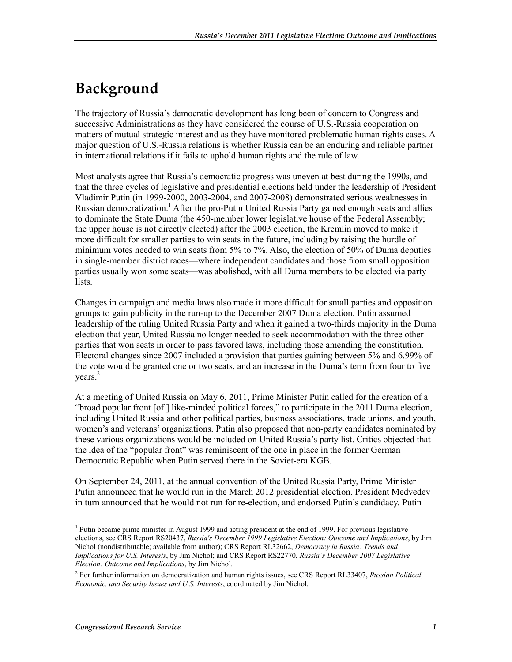### **Background**

The trajectory of Russia's democratic development has long been of concern to Congress and successive Administrations as they have considered the course of U.S.-Russia cooperation on matters of mutual strategic interest and as they have monitored problematic human rights cases. A major question of U.S.-Russia relations is whether Russia can be an enduring and reliable partner in international relations if it fails to uphold human rights and the rule of law.

Most analysts agree that Russia's democratic progress was uneven at best during the 1990s, and that the three cycles of legislative and presidential elections held under the leadership of President Vladimir Putin (in 1999-2000, 2003-2004, and 2007-2008) demonstrated serious weaknesses in Russian democratization.<sup>1</sup> After the pro-Putin United Russia Party gained enough seats and allies to dominate the State Duma (the 450-member lower legislative house of the Federal Assembly; the upper house is not directly elected) after the 2003 election, the Kremlin moved to make it more difficult for smaller parties to win seats in the future, including by raising the hurdle of minimum votes needed to win seats from 5% to 7%. Also, the election of 50% of Duma deputies in single-member district races—where independent candidates and those from small opposition parties usually won some seats—was abolished, with all Duma members to be elected via party lists.

Changes in campaign and media laws also made it more difficult for small parties and opposition groups to gain publicity in the run-up to the December 2007 Duma election. Putin assumed leadership of the ruling United Russia Party and when it gained a two-thirds majority in the Duma election that year, United Russia no longer needed to seek accommodation with the three other parties that won seats in order to pass favored laws, including those amending the constitution. Electoral changes since 2007 included a provision that parties gaining between 5% and 6.99% of the vote would be granted one or two seats, and an increase in the Duma's term from four to five years.<sup>2</sup>

At a meeting of United Russia on May 6, 2011, Prime Minister Putin called for the creation of a "broad popular front [of ] like-minded political forces," to participate in the 2011 Duma election, including United Russia and other political parties, business associations, trade unions, and youth, women's and veterans' organizations. Putin also proposed that non-party candidates nominated by these various organizations would be included on United Russia's party list. Critics objected that the idea of the "popular front" was reminiscent of the one in place in the former German Democratic Republic when Putin served there in the Soviet-era KGB.

On September 24, 2011, at the annual convention of the United Russia Party, Prime Minister Putin announced that he would run in the March 2012 presidential election. President Medvedev in turn announced that he would not run for re-election, and endorsed Putin's candidacy. Putin

The 1 Putin became prime minister in August 1999 and acting president at the end of 1999. For previous legislative elections, see CRS Report RS20437, *Russia's December 1999 Legislative Election: Outcome and Implications*, by Jim Nichol (nondistributable; available from author); CRS Report RL32662, *Democracy in Russia: Trends and Implications for U.S. Interests*, by Jim Nichol; and CRS Report RS22770, *Russia's December 2007 Legislative Election: Outcome and Implications*, by Jim Nichol.

<sup>2</sup> For further information on democratization and human rights issues, see CRS Report RL33407, *Russian Political, Economic, and Security Issues and U.S. Interests*, coordinated by Jim Nichol.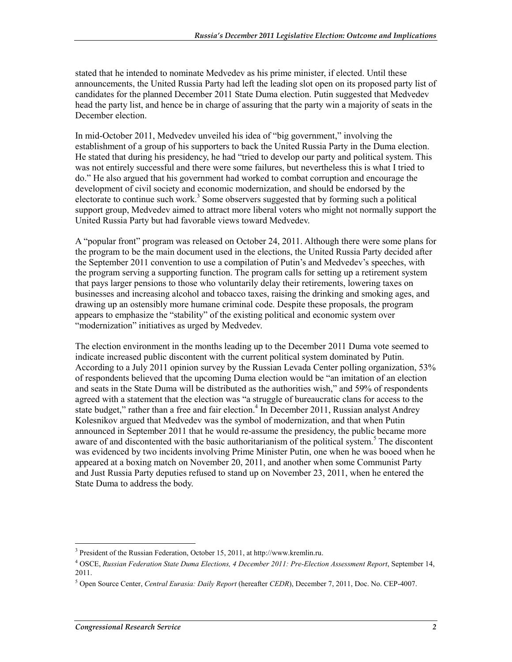stated that he intended to nominate Medvedev as his prime minister, if elected. Until these announcements, the United Russia Party had left the leading slot open on its proposed party list of candidates for the planned December 2011 State Duma election. Putin suggested that Medvedev head the party list, and hence be in charge of assuring that the party win a majority of seats in the December election.

In mid-October 2011, Medvedev unveiled his idea of "big government," involving the establishment of a group of his supporters to back the United Russia Party in the Duma election. He stated that during his presidency, he had "tried to develop our party and political system. This was not entirely successful and there were some failures, but nevertheless this is what I tried to do." He also argued that his government had worked to combat corruption and encourage the development of civil society and economic modernization, and should be endorsed by the electorate to continue such work.<sup>3</sup> Some observers suggested that by forming such a political support group, Medvedev aimed to attract more liberal voters who might not normally support the United Russia Party but had favorable views toward Medvedev.

A "popular front" program was released on October 24, 2011. Although there were some plans for the program to be the main document used in the elections, the United Russia Party decided after the September 2011 convention to use a compilation of Putin's and Medvedev's speeches, with the program serving a supporting function. The program calls for setting up a retirement system that pays larger pensions to those who voluntarily delay their retirements, lowering taxes on businesses and increasing alcohol and tobacco taxes, raising the drinking and smoking ages, and drawing up an ostensibly more humane criminal code. Despite these proposals, the program appears to emphasize the "stability" of the existing political and economic system over "modernization" initiatives as urged by Medvedev.

The election environment in the months leading up to the December 2011 Duma vote seemed to indicate increased public discontent with the current political system dominated by Putin. According to a July 2011 opinion survey by the Russian Levada Center polling organization, 53% of respondents believed that the upcoming Duma election would be "an imitation of an election and seats in the State Duma will be distributed as the authorities wish," and 59% of respondents agreed with a statement that the election was "a struggle of bureaucratic clans for access to the state budget," rather than a free and fair election.<sup>4</sup> In December 2011, Russian analyst Andrey Kolesnikov argued that Medvedev was the symbol of modernization, and that when Putin announced in September 2011 that he would re-assume the presidency, the public became more aware of and discontented with the basic authoritarianism of the political system.<sup>5</sup> The discontent was evidenced by two incidents involving Prime Minister Putin, one when he was booed when he appeared at a boxing match on November 20, 2011, and another when some Communist Party and Just Russia Party deputies refused to stand up on November 23, 2011, when he entered the State Duma to address the body.

<sup>&</sup>lt;sup>3</sup> President of the Russian Federation, October 15, 2011, at http://www.kremlin.ru.

<sup>4</sup> OSCE, *Russian Federation State Duma Elections, 4 December 2011: Pre-Election Assessment Report*, September 14, 2011.

<sup>5</sup> Open Source Center, *Central Eurasia: Daily Report* (hereafter *CEDR*), December 7, 2011, Doc. No. CEP-4007.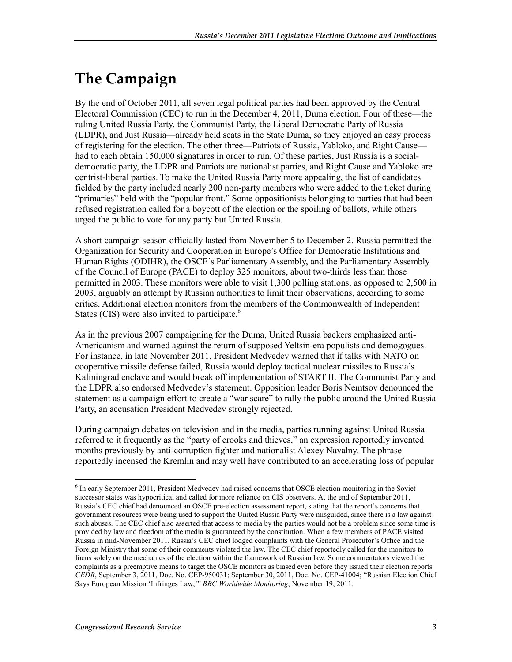# **The Campaign**

By the end of October 2011, all seven legal political parties had been approved by the Central Electoral Commission (CEC) to run in the December 4, 2011, Duma election. Four of these—the ruling United Russia Party, the Communist Party, the Liberal Democratic Party of Russia (LDPR), and Just Russia—already held seats in the State Duma, so they enjoyed an easy process of registering for the election. The other three—Patriots of Russia, Yabloko, and Right Cause had to each obtain 150,000 signatures in order to run. Of these parties, Just Russia is a socialdemocratic party, the LDPR and Patriots are nationalist parties, and Right Cause and Yabloko are centrist-liberal parties. To make the United Russia Party more appealing, the list of candidates fielded by the party included nearly 200 non-party members who were added to the ticket during "primaries" held with the "popular front." Some oppositionists belonging to parties that had been refused registration called for a boycott of the election or the spoiling of ballots, while others urged the public to vote for any party but United Russia.

A short campaign season officially lasted from November 5 to December 2. Russia permitted the Organization for Security and Cooperation in Europe's Office for Democratic Institutions and Human Rights (ODIHR), the OSCE's Parliamentary Assembly, and the Parliamentary Assembly of the Council of Europe (PACE) to deploy 325 monitors, about two-thirds less than those permitted in 2003. These monitors were able to visit 1,300 polling stations, as opposed to 2,500 in 2003, arguably an attempt by Russian authorities to limit their observations, according to some critics. Additional election monitors from the members of the Commonwealth of Independent States (CIS) were also invited to participate. $6$ 

As in the previous 2007 campaigning for the Duma, United Russia backers emphasized anti-Americanism and warned against the return of supposed Yeltsin-era populists and demogogues. For instance, in late November 2011, President Medvedev warned that if talks with NATO on cooperative missile defense failed, Russia would deploy tactical nuclear missiles to Russia's Kaliningrad enclave and would break off implementation of START II. The Communist Party and the LDPR also endorsed Medvedev's statement. Opposition leader Boris Nemtsov denounced the statement as a campaign effort to create a "war scare" to rally the public around the United Russia Party, an accusation President Medvedev strongly rejected.

During campaign debates on television and in the media, parties running against United Russia referred to it frequently as the "party of crooks and thieves," an expression reportedly invented months previously by anti-corruption fighter and nationalist Alexey Navalny. The phrase reportedly incensed the Kremlin and may well have contributed to an accelerating loss of popular

**EXECUTE:**<br><sup>6</sup> In early September 2011, President Medvedev had raised concerns that OSCE election monitoring in the Soviet successor states was hypocritical and called for more reliance on CIS observers. At the end of September 2011, Russia's CEC chief had denounced an OSCE pre-election assessment report, stating that the report's concerns that government resources were being used to support the United Russia Party were misguided, since there is a law against such abuses. The CEC chief also asserted that access to media by the parties would not be a problem since some time is provided by law and freedom of the media is guaranteed by the constitution. When a few members of PACE visited Russia in mid-November 2011, Russia's CEC chief lodged complaints with the General Prosecutor's Office and the Foreign Ministry that some of their comments violated the law. The CEC chief reportedly called for the monitors to focus solely on the mechanics of the election within the framework of Russian law. Some commentators viewed the complaints as a preemptive means to target the OSCE monitors as biased even before they issued their election reports. *CEDR*, September 3, 2011, Doc. No. CEP-950031; September 30, 2011, Doc. No. CEP-41004; "Russian Election Chief Says European Mission 'Infringes Law,'" *BBC Worldwide Monitoring*, November 19, 2011.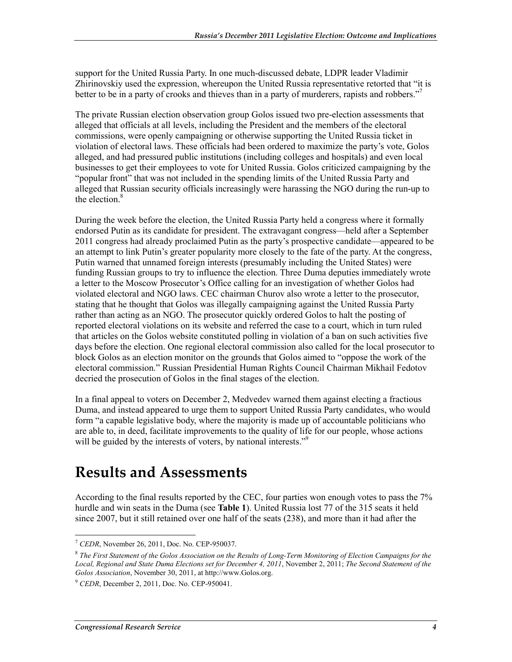support for the United Russia Party. In one much-discussed debate, LDPR leader Vladimir Zhirinovskiy used the expression, whereupon the United Russia representative retorted that "it is better to be in a party of crooks and thieves than in a party of murderers, rapists and robbers."<sup>7</sup>

The private Russian election observation group Golos issued two pre-election assessments that alleged that officials at all levels, including the President and the members of the electoral commissions, were openly campaigning or otherwise supporting the United Russia ticket in violation of electoral laws. These officials had been ordered to maximize the party's vote, Golos alleged, and had pressured public institutions (including colleges and hospitals) and even local businesses to get their employees to vote for United Russia. Golos criticized campaigning by the "popular front" that was not included in the spending limits of the United Russia Party and alleged that Russian security officials increasingly were harassing the NGO during the run-up to the election.<sup>8</sup>

During the week before the election, the United Russia Party held a congress where it formally endorsed Putin as its candidate for president. The extravagant congress—held after a September 2011 congress had already proclaimed Putin as the party's prospective candidate—appeared to be an attempt to link Putin's greater popularity more closely to the fate of the party. At the congress, Putin warned that unnamed foreign interests (presumably including the United States) were funding Russian groups to try to influence the election. Three Duma deputies immediately wrote a letter to the Moscow Prosecutor's Office calling for an investigation of whether Golos had violated electoral and NGO laws. CEC chairman Churov also wrote a letter to the prosecutor, stating that he thought that Golos was illegally campaigning against the United Russia Party rather than acting as an NGO. The prosecutor quickly ordered Golos to halt the posting of reported electoral violations on its website and referred the case to a court, which in turn ruled that articles on the Golos website constituted polling in violation of a ban on such activities five days before the election. One regional electoral commission also called for the local prosecutor to block Golos as an election monitor on the grounds that Golos aimed to "oppose the work of the electoral commission." Russian Presidential Human Rights Council Chairman Mikhail Fedotov decried the prosecution of Golos in the final stages of the election.

In a final appeal to voters on December 2, Medvedev warned them against electing a fractious Duma, and instead appeared to urge them to support United Russia Party candidates, who would form "a capable legislative body, where the majority is made up of accountable politicians who are able to, in deed, facilitate improvements to the quality of life for our people, whose actions will be guided by the interests of voters, by national interests."<sup>9</sup>

### **Results and Assessments**

According to the final results reported by the CEC, four parties won enough votes to pass the 7% hurdle and win seats in the Duma (see **Table 1**). United Russia lost 77 of the 315 seats it held since 2007, but it still retained over one half of the seats (238), and more than it had after the

<sup>1</sup> <sup>7</sup> *CEDR*, November 26, 2011, Doc. No. CEP-950037.

<sup>8</sup> *The First Statement of the Golos Association on the Results of Long-Term Monitoring of Election Campaigns for the Local, Regional and State Duma Elections set for December 4, 2011*, November 2, 2011; *The Second Statement of the Golos Association*, November 30, 2011, at http://www.Golos.org.

<sup>9</sup> *CEDR*, December 2, 2011, Doc. No. CEP-950041.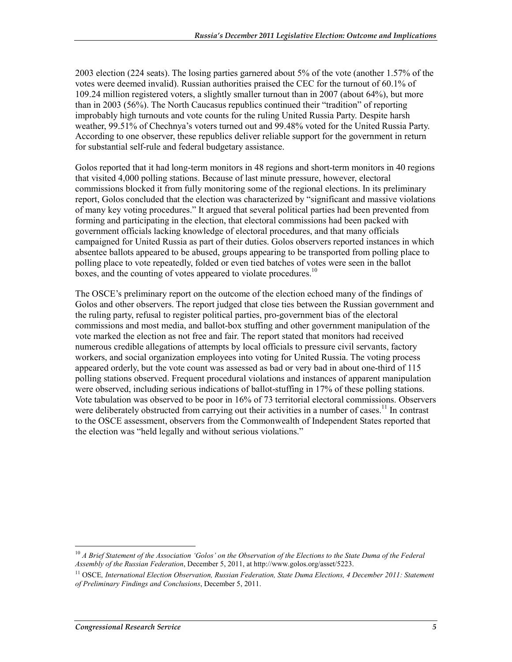2003 election (224 seats). The losing parties garnered about 5% of the vote (another 1.57% of the votes were deemed invalid). Russian authorities praised the CEC for the turnout of 60.1% of 109.24 million registered voters, a slightly smaller turnout than in 2007 (about 64%), but more than in 2003 (56%). The North Caucasus republics continued their "tradition" of reporting improbably high turnouts and vote counts for the ruling United Russia Party. Despite harsh weather, 99.51% of Chechnya's voters turned out and 99.48% voted for the United Russia Party. According to one observer, these republics deliver reliable support for the government in return for substantial self-rule and federal budgetary assistance.

Golos reported that it had long-term monitors in 48 regions and short-term monitors in 40 regions that visited 4,000 polling stations. Because of last minute pressure, however, electoral commissions blocked it from fully monitoring some of the regional elections. In its preliminary report, Golos concluded that the election was characterized by "significant and massive violations of many key voting procedures." It argued that several political parties had been prevented from forming and participating in the election, that electoral commissions had been packed with government officials lacking knowledge of electoral procedures, and that many officials campaigned for United Russia as part of their duties. Golos observers reported instances in which absentee ballots appeared to be abused, groups appearing to be transported from polling place to polling place to vote repeatedly, folded or even tied batches of votes were seen in the ballot boxes, and the counting of votes appeared to violate procedures.<sup>10</sup>

The OSCE's preliminary report on the outcome of the election echoed many of the findings of Golos and other observers. The report judged that close ties between the Russian government and the ruling party, refusal to register political parties, pro-government bias of the electoral commissions and most media, and ballot-box stuffing and other government manipulation of the vote marked the election as not free and fair. The report stated that monitors had received numerous credible allegations of attempts by local officials to pressure civil servants, factory workers, and social organization employees into voting for United Russia. The voting process appeared orderly, but the vote count was assessed as bad or very bad in about one-third of 115 polling stations observed. Frequent procedural violations and instances of apparent manipulation were observed, including serious indications of ballot-stuffing in 17% of these polling stations. Vote tabulation was observed to be poor in 16% of 73 territorial electoral commissions. Observers were deliberately obstructed from carrying out their activities in a number of cases.<sup>11</sup> In contrast to the OSCE assessment, observers from the Commonwealth of Independent States reported that the election was "held legally and without serious violations."

<sup>1</sup> <sup>10</sup> *A Brief Statement of the Association 'Golos' on the Observation of the Elections to the State Duma of the Federal Assembly of the Russian Federation*, December 5, 2011, at http://www.golos.org/asset/5223.

<sup>11</sup> OSCE*, International Election Observation, Russian Federation, State Duma Elections, 4 December 2011: Statement of Preliminary Findings and Conclusions*, December 5, 2011.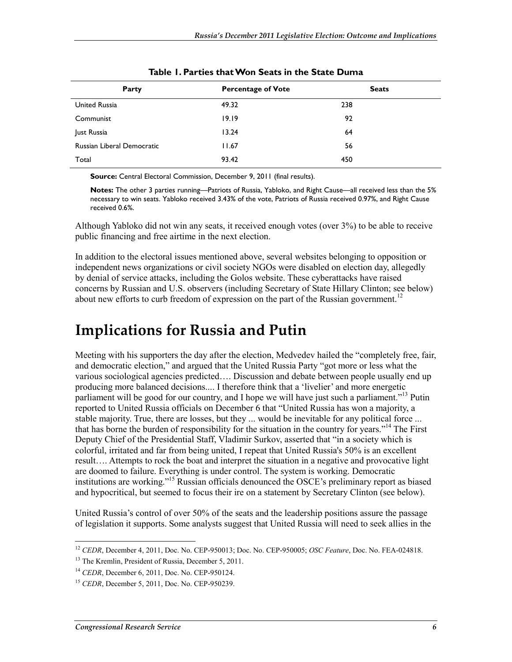| Party                             | <b>Percentage of Vote</b> | <b>Seats</b> |  |
|-----------------------------------|---------------------------|--------------|--|
| <b>United Russia</b>              | 49.32                     | 238          |  |
| Communist                         | 19.19                     | 92           |  |
| Just Russia                       | 13.24                     | 64           |  |
| <b>Russian Liberal Democratic</b> | 11.67                     | 56           |  |
| Total                             | 93.42                     | 450          |  |

| Table 1. Parties that Won Seats in the State Duma |  |
|---------------------------------------------------|--|
|---------------------------------------------------|--|

**Source:** Central Electoral Commission, December 9, 2011 (final results).

**Notes:** The other 3 parties running—Patriots of Russia, Yabloko, and Right Cause—all received less than the 5% necessary to win seats. Yabloko received 3.43% of the vote, Patriots of Russia received 0.97%, and Right Cause received 0.6%.

Although Yabloko did not win any seats, it received enough votes (over 3%) to be able to receive public financing and free airtime in the next election.

In addition to the electoral issues mentioned above, several websites belonging to opposition or independent news organizations or civil society NGOs were disabled on election day, allegedly by denial of service attacks, including the Golos website. These cyberattacks have raised concerns by Russian and U.S. observers (including Secretary of State Hillary Clinton; see below) about new efforts to curb freedom of expression on the part of the Russian government.<sup>12</sup>

### **Implications for Russia and Putin**

Meeting with his supporters the day after the election, Medvedev hailed the "completely free, fair, and democratic election," and argued that the United Russia Party "got more or less what the various sociological agencies predicted…. Discussion and debate between people usually end up producing more balanced decisions.... I therefore think that a 'livelier' and more energetic parliament will be good for our country, and I hope we will have just such a parliament."<sup>13</sup> Putin reported to United Russia officials on December 6 that "United Russia has won a majority, a stable majority. True, there are losses, but they ... would be inevitable for any political force ... that has borne the burden of responsibility for the situation in the country for years."14 The First Deputy Chief of the Presidential Staff, Vladimir Surkov, asserted that "in a society which is colorful, irritated and far from being united, I repeat that United Russia's 50% is an excellent result…. Attempts to rock the boat and interpret the situation in a negative and provocative light are doomed to failure. Everything is under control. The system is working. Democratic institutions are working."15 Russian officials denounced the OSCE's preliminary report as biased and hypocritical, but seemed to focus their ire on a statement by Secretary Clinton (see below).

United Russia's control of over 50% of the seats and the leadership positions assure the passage of legislation it supports. Some analysts suggest that United Russia will need to seek allies in the

<sup>1</sup> <sup>12</sup> *CEDR*, December 4, 2011, Doc. No. CEP-950013; Doc. No. CEP-950005; *OSC Feature*, Doc. No. FEA-024818.

<sup>&</sup>lt;sup>13</sup> The Kremlin, President of Russia, December 5, 2011.

<sup>14</sup> *CEDR*, December 6, 2011, Doc. No. CEP-950124.

<sup>15</sup> *CEDR*, December 5, 2011, Doc. No. CEP-950239.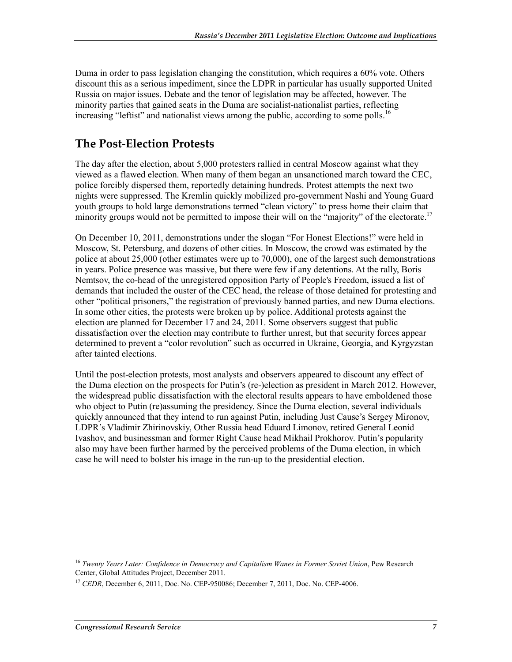Duma in order to pass legislation changing the constitution, which requires a 60% vote. Others discount this as a serious impediment, since the LDPR in particular has usually supported United Russia on major issues. Debate and the tenor of legislation may be affected, however. The minority parties that gained seats in the Duma are socialist-nationalist parties, reflecting increasing "leftist" and nationalist views among the public, according to some polls.<sup>16</sup>

#### **The Post-Election Protests**

The day after the election, about 5,000 protesters rallied in central Moscow against what they viewed as a flawed election. When many of them began an unsanctioned march toward the CEC, police forcibly dispersed them, reportedly detaining hundreds. Protest attempts the next two nights were suppressed. The Kremlin quickly mobilized pro-government Nashi and Young Guard youth groups to hold large demonstrations termed "clean victory" to press home their claim that minority groups would not be permitted to impose their will on the "majority" of the electorate.<sup>17</sup>

On December 10, 2011, demonstrations under the slogan "For Honest Elections!" were held in Moscow, St. Petersburg, and dozens of other cities. In Moscow, the crowd was estimated by the police at about 25,000 (other estimates were up to 70,000), one of the largest such demonstrations in years. Police presence was massive, but there were few if any detentions. At the rally, Boris Nemtsov, the co-head of the unregistered opposition Party of People's Freedom, issued a list of demands that included the ouster of the CEC head, the release of those detained for protesting and other "political prisoners," the registration of previously banned parties, and new Duma elections. In some other cities, the protests were broken up by police. Additional protests against the election are planned for December 17 and 24, 2011. Some observers suggest that public dissatisfaction over the election may contribute to further unrest, but that security forces appear determined to prevent a "color revolution" such as occurred in Ukraine, Georgia, and Kyrgyzstan after tainted elections.

Until the post-election protests, most analysts and observers appeared to discount any effect of the Duma election on the prospects for Putin's (re-)election as president in March 2012. However, the widespread public dissatisfaction with the electoral results appears to have emboldened those who object to Putin (re)assuming the presidency. Since the Duma election, several individuals quickly announced that they intend to run against Putin, including Just Cause's Sergey Mironov, LDPR's Vladimir Zhirinovskiy, Other Russia head Eduard Limonov, retired General Leonid Ivashov, and businessman and former Right Cause head Mikhail Prokhorov. Putin's popularity also may have been further harmed by the perceived problems of the Duma election, in which case he will need to bolster his image in the run-up to the presidential election.

<sup>&</sup>lt;sup>16</sup> *Twenty Years Later: Confidence in Democracy and Capitalism Wanes in Former Soviet Union*, Pew Research Center, Global Attitudes Project, December 2011.

<sup>&</sup>lt;sup>17</sup> *CEDR*, December 6, 2011, Doc. No. CEP-950086; December 7, 2011, Doc. No. CEP-4006.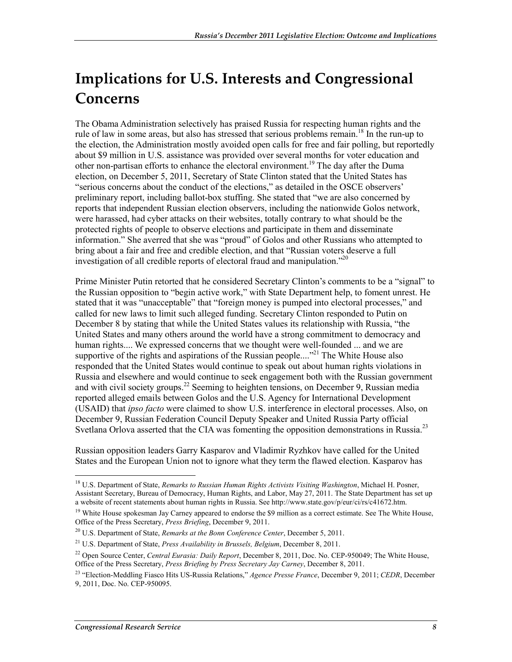# **Implications for U.S. Interests and Congressional Concerns**

The Obama Administration selectively has praised Russia for respecting human rights and the rule of law in some areas, but also has stressed that serious problems remain.<sup>18</sup> In the run-up to the election, the Administration mostly avoided open calls for free and fair polling, but reportedly about \$9 million in U.S. assistance was provided over several months for voter education and other non-partisan efforts to enhance the electoral environment.<sup>19</sup> The day after the Duma election, on December 5, 2011, Secretary of State Clinton stated that the United States has "serious concerns about the conduct of the elections," as detailed in the OSCE observers' preliminary report, including ballot-box stuffing. She stated that "we are also concerned by reports that independent Russian election observers, including the nationwide Golos network, were harassed, had cyber attacks on their websites, totally contrary to what should be the protected rights of people to observe elections and participate in them and disseminate information." She averred that she was "proud" of Golos and other Russians who attempted to bring about a fair and free and credible election, and that "Russian voters deserve a full investigation of all credible reports of electoral fraud and manipulation.<sup> $20$ </sup>

Prime Minister Putin retorted that he considered Secretary Clinton's comments to be a "signal" to the Russian opposition to "begin active work," with State Department help, to foment unrest. He stated that it was "unacceptable" that "foreign money is pumped into electoral processes," and called for new laws to limit such alleged funding. Secretary Clinton responded to Putin on December 8 by stating that while the United States values its relationship with Russia, "the United States and many others around the world have a strong commitment to democracy and human rights.... We expressed concerns that we thought were well-founded ... and we are supportive of the rights and aspirations of the Russian people...."<sup>21</sup> The White House also responded that the United States would continue to speak out about human rights violations in Russia and elsewhere and would continue to seek engagement both with the Russian government and with civil society groups.<sup>22</sup> Seeming to heighten tensions, on December 9, Russian media reported alleged emails between Golos and the U.S. Agency for International Development (USAID) that *ipso facto* were claimed to show U.S. interference in electoral processes. Also, on December 9, Russian Federation Council Deputy Speaker and United Russia Party official Svetlana Orlova asserted that the CIA was fomenting the opposition demonstrations in Russia.<sup>23</sup>

Russian opposition leaders Garry Kasparov and Vladimir Ryzhkov have called for the United States and the European Union not to ignore what they term the flawed election. Kasparov has

<u>.</u>

<sup>18</sup> U.S. Department of State, *Remarks to Russian Human Rights Activists Visiting Washington*, Michael H. Posner, Assistant Secretary, Bureau of Democracy, Human Rights, and Labor, May 27, 2011. The State Department has set up a website of recent statements about human rights in Russia. See http://www.state.gov/p/eur/ci/rs/c41672.htm.

<sup>&</sup>lt;sup>19</sup> White House spokesman Jay Carney appeared to endorse the \$9 million as a correct estimate. See The White House, Office of the Press Secretary, *Press Briefing*, December 9, 2011.

<sup>20</sup> U.S. Department of State, *Remarks at the Bonn Conference Center*, December 5, 2011.

<sup>21</sup> U.S. Department of State, *Press Availability in Brussels, Belgium*, December 8, 2011.

<sup>22</sup> Open Source Center, *Central Eurasia: Daily Report*, December 8, 2011, Doc. No. CEP-950049; The White House, Office of the Press Secretary, *Press Briefing by Press Secretary Jay Carney*, December 8, 2011.

<sup>23 &</sup>quot;Election-Meddling Fiasco Hits US-Russia Relations," *Agence Presse France*, December 9, 2011; *CEDR*, December 9, 2011, Doc. No. CEP-950095.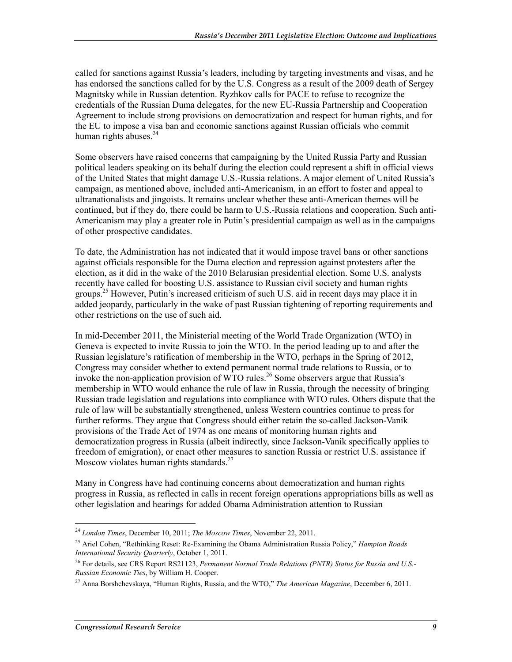called for sanctions against Russia's leaders, including by targeting investments and visas, and he has endorsed the sanctions called for by the U.S. Congress as a result of the 2009 death of Sergey Magnitsky while in Russian detention. Ryzhkov calls for PACE to refuse to recognize the credentials of the Russian Duma delegates, for the new EU-Russia Partnership and Cooperation Agreement to include strong provisions on democratization and respect for human rights, and for the EU to impose a visa ban and economic sanctions against Russian officials who commit human rights abuses. $24$ 

Some observers have raised concerns that campaigning by the United Russia Party and Russian political leaders speaking on its behalf during the election could represent a shift in official views of the United States that might damage U.S.-Russia relations. A major element of United Russia's campaign, as mentioned above, included anti-Americanism, in an effort to foster and appeal to ultranationalists and jingoists. It remains unclear whether these anti-American themes will be continued, but if they do, there could be harm to U.S.-Russia relations and cooperation. Such anti-Americanism may play a greater role in Putin's presidential campaign as well as in the campaigns of other prospective candidates.

To date, the Administration has not indicated that it would impose travel bans or other sanctions against officials responsible for the Duma election and repression against protesters after the election, as it did in the wake of the 2010 Belarusian presidential election. Some U.S. analysts recently have called for boosting U.S. assistance to Russian civil society and human rights groups.<sup>25</sup> However, Putin's increased criticism of such U.S. aid in recent days may place it in added jeopardy, particularly in the wake of past Russian tightening of reporting requirements and other restrictions on the use of such aid.

In mid-December 2011, the Ministerial meeting of the World Trade Organization (WTO) in Geneva is expected to invite Russia to join the WTO. In the period leading up to and after the Russian legislature's ratification of membership in the WTO, perhaps in the Spring of 2012, Congress may consider whether to extend permanent normal trade relations to Russia, or to invoke the non-application provision of WTO rules.<sup>26</sup> Some observers argue that Russia's membership in WTO would enhance the rule of law in Russia, through the necessity of bringing Russian trade legislation and regulations into compliance with WTO rules. Others dispute that the rule of law will be substantially strengthened, unless Western countries continue to press for further reforms. They argue that Congress should either retain the so-called Jackson-Vanik provisions of the Trade Act of 1974 as one means of monitoring human rights and democratization progress in Russia (albeit indirectly, since Jackson-Vanik specifically applies to freedom of emigration), or enact other measures to sanction Russia or restrict U.S. assistance if Moscow violates human rights standards. $27$ 

Many in Congress have had continuing concerns about democratization and human rights progress in Russia, as reflected in calls in recent foreign operations appropriations bills as well as other legislation and hearings for added Obama Administration attention to Russian

<sup>24</sup> *London Times*, December 10, 2011; *The Moscow Times*, November 22, 2011.

<sup>25</sup> Ariel Cohen, "Rethinking Reset: Re-Examining the Obama Administration Russia Policy," *Hampton Roads International Security Quarterly*, October 1, 2011.

<sup>26</sup> For details, see CRS Report RS21123, *Permanent Normal Trade Relations (PNTR) Status for Russia and U.S.- Russian Economic Ties*, by William H. Cooper.

<sup>27</sup> Anna Borshchevskaya, "Human Rights, Russia, and the WTO," *The American Magazine*, December 6, 2011.